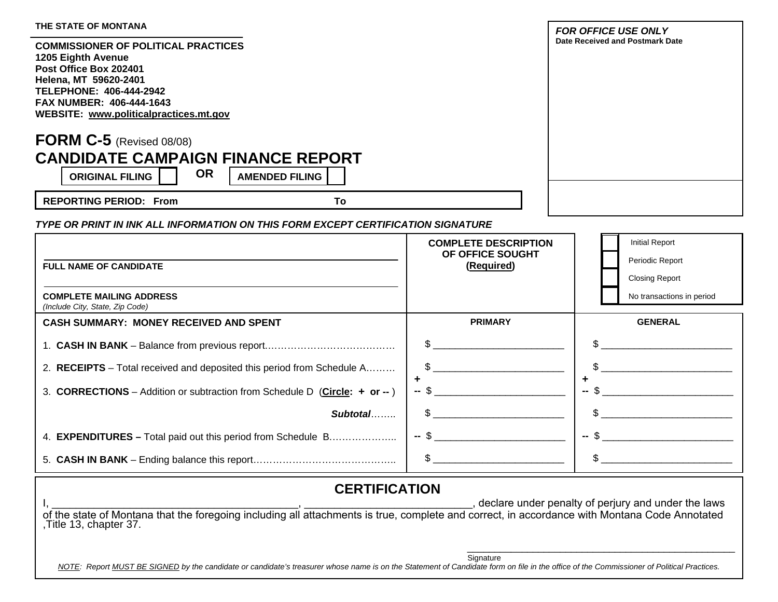| THE STATE OF MONTANA                                                                                                                                                                                                        |                                                               | <b>FOR OFFICE USE ONLY</b>                                                                                                                                                                                                                                                                                          |
|-----------------------------------------------------------------------------------------------------------------------------------------------------------------------------------------------------------------------------|---------------------------------------------------------------|---------------------------------------------------------------------------------------------------------------------------------------------------------------------------------------------------------------------------------------------------------------------------------------------------------------------|
| <b>COMMISSIONER OF POLITICAL PRACTICES</b><br>1205 Eighth Avenue<br>Post Office Box 202401<br>Helena, MT 59620-2401<br><b>TELEPHONE: 406-444-2942</b><br>FAX NUMBER: 406-444-1643<br>WEBSITE: www.politicalpractices.mt.gov |                                                               | Date Received and Postmark Date                                                                                                                                                                                                                                                                                     |
| FORM $C-5$ (Revised 08/08)<br><b>CANDIDATE CAMPAIGN FINANCE REPORT</b><br><b>OR</b><br><b>ORIGINAL FILING</b><br><b>AMENDED FILING</b><br><b>REPORTING PERIOD: From</b><br>To                                               |                                                               |                                                                                                                                                                                                                                                                                                                     |
| TYPE OR PRINT IN INK ALL INFORMATION ON THIS FORM EXCEPT CERTIFICATION SIGNATURE                                                                                                                                            |                                                               |                                                                                                                                                                                                                                                                                                                     |
| <b>FULL NAME OF CANDIDATE</b>                                                                                                                                                                                               | <b>COMPLETE DESCRIPTION</b><br>OF OFFICE SOUGHT<br>(Required) | <b>Initial Report</b><br>Periodic Report<br><b>Closing Report</b>                                                                                                                                                                                                                                                   |
| <b>COMPLETE MAILING ADDRESS</b><br>(Include City, State, Zip Code)                                                                                                                                                          |                                                               | No transactions in period                                                                                                                                                                                                                                                                                           |
| <b>CASH SUMMARY: MONEY RECEIVED AND SPENT</b>                                                                                                                                                                               | <b>PRIMARY</b>                                                | <b>GENERAL</b>                                                                                                                                                                                                                                                                                                      |
|                                                                                                                                                                                                                             |                                                               |                                                                                                                                                                                                                                                                                                                     |
| 2. RECEIPTS - Total received and deposited this period from Schedule A                                                                                                                                                      | \$.                                                           |                                                                                                                                                                                                                                                                                                                     |
| 3. CORRECTIONS – Addition or subtraction from Schedule D (Circle: + or --)                                                                                                                                                  | ٠                                                             | -- \$                                                                                                                                                                                                                                                                                                               |
| Subtotal                                                                                                                                                                                                                    |                                                               | $\frac{1}{2}$ $\frac{1}{2}$ $\frac{1}{2}$ $\frac{1}{2}$ $\frac{1}{2}$ $\frac{1}{2}$ $\frac{1}{2}$ $\frac{1}{2}$ $\frac{1}{2}$ $\frac{1}{2}$ $\frac{1}{2}$ $\frac{1}{2}$ $\frac{1}{2}$ $\frac{1}{2}$ $\frac{1}{2}$ $\frac{1}{2}$ $\frac{1}{2}$ $\frac{1}{2}$ $\frac{1}{2}$ $\frac{1}{2}$ $\frac{1}{2}$ $\frac{1}{2}$ |
| 4. <b>EXPENDITURES</b> - Total paid out this period from Schedule B                                                                                                                                                         | $-5$                                                          | $-5$                                                                                                                                                                                                                                                                                                                |
|                                                                                                                                                                                                                             |                                                               |                                                                                                                                                                                                                                                                                                                     |
| <b>CERTIFICATION</b>                                                                                                                                                                                                        |                                                               | declare under penalty of perjury and under the laws                                                                                                                                                                                                                                                                 |
| of the state of Montana that the foregoing including all attachments is true, complete and correct, in accordance with Montana Code Annotated<br>,Title 13, chapter 37.                                                     |                                                               |                                                                                                                                                                                                                                                                                                                     |
| NOTE: Report MUST BE SIGNED by the candidate or candidate's treasurer whose name is on the Statement of Candidate form on file in the office of the Commissioner of Political Practices.                                    | Signature                                                     |                                                                                                                                                                                                                                                                                                                     |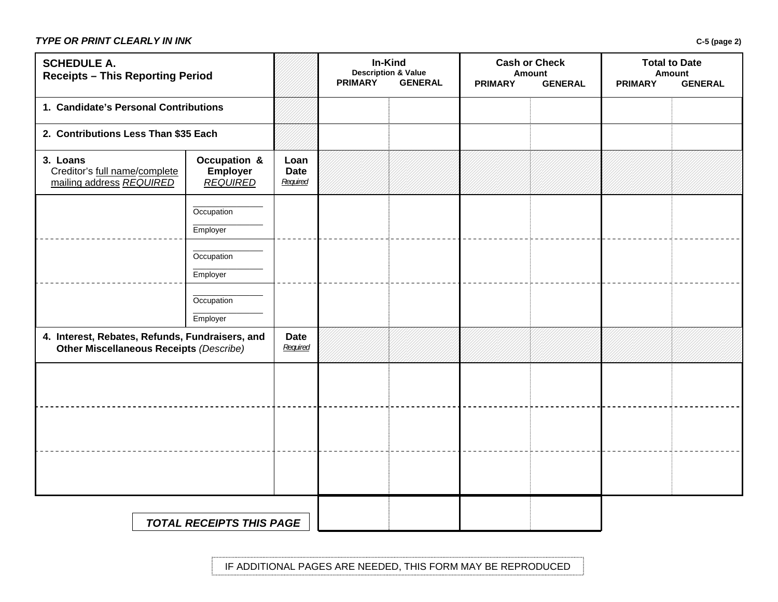### *TYPE OR PRINT CLEARLY IN INK* **C-5 (page 2)**

| <b>SCHEDULE A.</b><br><b>Receipts - This Reporting Period</b>                                     |                                                    | In-Kind<br><b>Description &amp; Value</b><br><b>PRIMARY</b><br><b>GENERAL</b> |  | <b>Cash or Check</b><br>Amount<br><b>PRIMARY</b><br><b>GENERAL</b> |  | <b>Total to Date</b><br><b>Amount</b><br><b>PRIMARY</b><br><b>GENERAL</b> |  |  |
|---------------------------------------------------------------------------------------------------|----------------------------------------------------|-------------------------------------------------------------------------------|--|--------------------------------------------------------------------|--|---------------------------------------------------------------------------|--|--|
| 1. Candidate's Personal Contributions                                                             |                                                    |                                                                               |  |                                                                    |  |                                                                           |  |  |
| 2. Contributions Less Than \$35 Each                                                              |                                                    |                                                                               |  |                                                                    |  |                                                                           |  |  |
| 3. Loans<br>Creditor's full name/complete<br>mailing address REQUIRED                             | Occupation &<br><b>Employer</b><br><b>REQUIRED</b> | Loan<br><b>Date</b><br>Required                                               |  |                                                                    |  |                                                                           |  |  |
|                                                                                                   | Occupation<br>Employer                             |                                                                               |  |                                                                    |  |                                                                           |  |  |
|                                                                                                   | Occupation<br>Employer                             |                                                                               |  |                                                                    |  |                                                                           |  |  |
|                                                                                                   | Occupation<br>Employer                             |                                                                               |  |                                                                    |  |                                                                           |  |  |
| 4. Interest, Rebates, Refunds, Fundraisers, and<br><b>Other Miscellaneous Receipts (Describe)</b> |                                                    | <b>Date</b><br>Required                                                       |  |                                                                    |  |                                                                           |  |  |
|                                                                                                   |                                                    |                                                                               |  |                                                                    |  |                                                                           |  |  |
|                                                                                                   |                                                    |                                                                               |  |                                                                    |  |                                                                           |  |  |
|                                                                                                   |                                                    |                                                                               |  |                                                                    |  |                                                                           |  |  |
|                                                                                                   | <b>TOTAL RECEIPTS THIS PAGE</b>                    |                                                                               |  |                                                                    |  |                                                                           |  |  |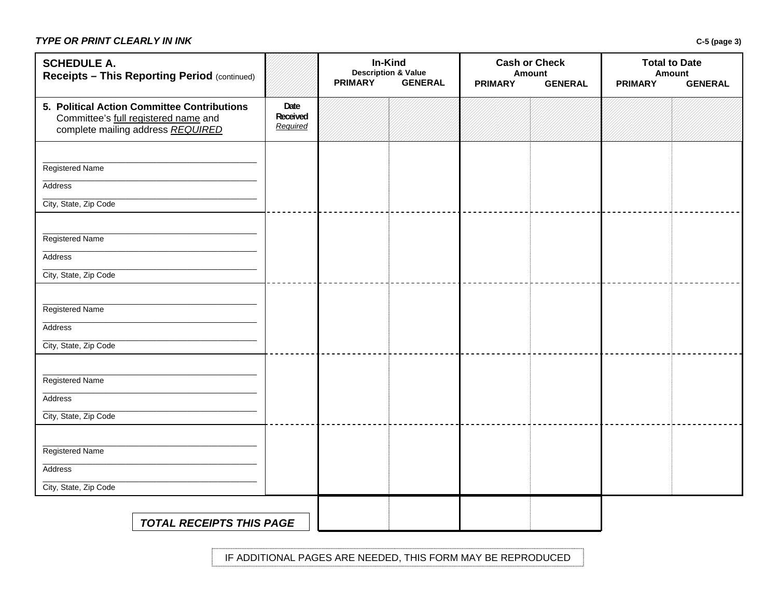## *TYPE OR PRINT CLEARLY IN INK* **C-5 (page 3)**

| <b>SCHEDULE A.</b><br>Receipts - This Reporting Period (continued)                                                       |                              | In-Kind<br><b>Description &amp; Value</b><br><b>PRIMARY</b><br><b>GENERAL</b> |  | <b>Cash or Check</b><br><b>Amount</b><br><b>PRIMARY</b><br><b>GENERAL</b> |  | <b>Total to Date</b><br><b>Amount</b><br><b>PRIMARY</b><br><b>GENERAL</b> |  |
|--------------------------------------------------------------------------------------------------------------------------|------------------------------|-------------------------------------------------------------------------------|--|---------------------------------------------------------------------------|--|---------------------------------------------------------------------------|--|
| 5. Political Action Committee Contributions<br>Committee's full registered name and<br>complete mailing address REQUIRED | Date<br>Received<br>Required |                                                                               |  |                                                                           |  |                                                                           |  |
| Registered Name<br>Address<br>City, State, Zip Code                                                                      |                              |                                                                               |  |                                                                           |  |                                                                           |  |
| Registered Name<br>Address<br>City, State, Zip Code                                                                      |                              |                                                                               |  |                                                                           |  |                                                                           |  |
| Registered Name<br>Address<br>City, State, Zip Code                                                                      |                              |                                                                               |  |                                                                           |  |                                                                           |  |
| Registered Name<br>Address<br>City, State, Zip Code                                                                      |                              |                                                                               |  |                                                                           |  |                                                                           |  |
| Registered Name<br>Address<br>City, State, Zip Code                                                                      |                              |                                                                               |  |                                                                           |  |                                                                           |  |
| <b>TOTAL RECEIPTS THIS PAGE</b>                                                                                          |                              |                                                                               |  |                                                                           |  |                                                                           |  |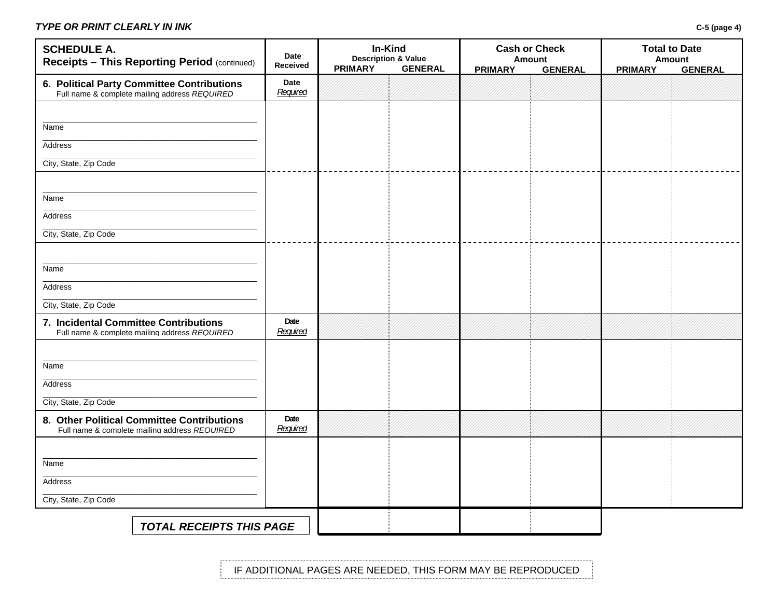### *TYPE OR PRINT CLEARLY IN INK* **C-5 (page 4)**

| <b>SCHEDULE A.</b><br><b>Receipts - This Reporting Period (continued)</b>                   | Date<br><b>Received</b> | In-Kind<br><b>Description &amp; Value</b><br><b>PRIMARY</b> | <b>GENERAL</b> | <b>PRIMARY</b> | <b>Cash or Check</b><br><b>Amount</b><br><b>GENERAL</b> | <b>PRIMARY</b> | <b>Total to Date</b><br><b>Amount</b><br><b>GENERAL</b> |
|---------------------------------------------------------------------------------------------|-------------------------|-------------------------------------------------------------|----------------|----------------|---------------------------------------------------------|----------------|---------------------------------------------------------|
| 6. Political Party Committee Contributions<br>Full name & complete mailing address REQUIRED | Date<br>Required        |                                                             |                |                |                                                         |                |                                                         |
|                                                                                             |                         |                                                             |                |                |                                                         |                |                                                         |
| Name                                                                                        |                         |                                                             |                |                |                                                         |                |                                                         |
| Address                                                                                     |                         |                                                             |                |                |                                                         |                |                                                         |
| City, State, Zip Code                                                                       |                         |                                                             |                |                |                                                         |                |                                                         |
|                                                                                             |                         |                                                             |                |                |                                                         |                |                                                         |
| Name                                                                                        |                         |                                                             |                |                |                                                         |                |                                                         |
| Address                                                                                     |                         |                                                             |                |                |                                                         |                |                                                         |
| City, State, Zip Code                                                                       |                         |                                                             |                |                |                                                         |                |                                                         |
|                                                                                             |                         |                                                             |                |                |                                                         |                |                                                         |
| Name                                                                                        |                         |                                                             |                |                |                                                         |                |                                                         |
| Address                                                                                     |                         |                                                             |                |                |                                                         |                |                                                         |
| City, State, Zip Code                                                                       |                         |                                                             |                |                |                                                         |                |                                                         |
| 7. Incidental Committee Contributions<br>Full name & complete mailing address REQUIRED      | Date<br>Required        |                                                             |                |                |                                                         |                |                                                         |
|                                                                                             |                         |                                                             |                |                |                                                         |                |                                                         |
| Name                                                                                        |                         |                                                             |                |                |                                                         |                |                                                         |
| Address                                                                                     |                         |                                                             |                |                |                                                         |                |                                                         |
| City, State, Zip Code                                                                       |                         |                                                             |                |                |                                                         |                |                                                         |
| 8. Other Political Committee Contributions<br>Full name & complete mailing address REQUIRED | Date<br>Required        |                                                             |                |                |                                                         |                |                                                         |
|                                                                                             |                         |                                                             |                |                |                                                         |                |                                                         |
| Name                                                                                        |                         |                                                             |                |                |                                                         |                |                                                         |
| Address                                                                                     |                         |                                                             |                |                |                                                         |                |                                                         |
| City, State, Zip Code                                                                       |                         |                                                             |                |                |                                                         |                |                                                         |
| <b>TOTAL RECEIPTS THIS PAGE</b>                                                             |                         |                                                             |                |                |                                                         |                |                                                         |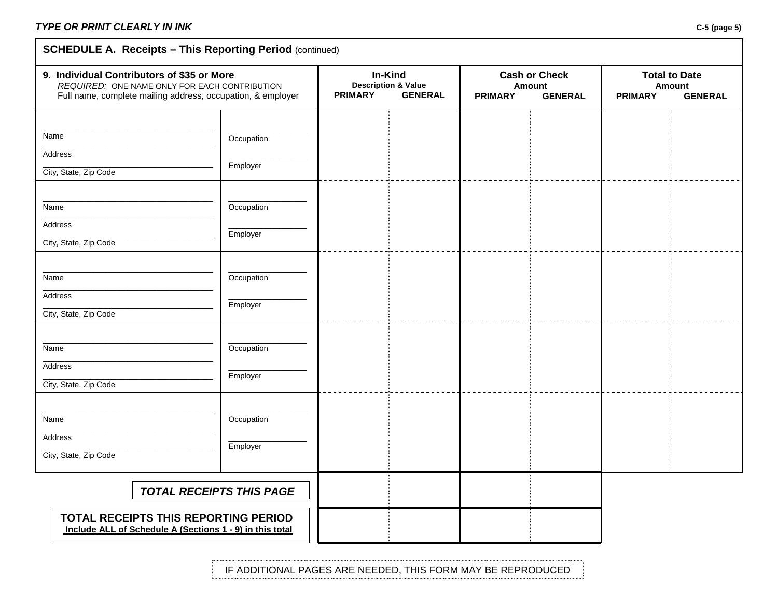# **SCHEDULE A. Receipts - This Reporting Period (continued)**

| 9. Individual Contributors of \$35 or More<br>REQUIRED: ONE NAME ONLY FOR EACH CONTRIBUTION<br>Full name, complete mailing address, occupation, & employer |                        | In-Kind<br><b>Description &amp; Value</b><br><b>GENERAL</b><br><b>PRIMARY</b> |  | <b>Cash or Check</b><br>Amount<br><b>PRIMARY</b><br><b>GENERAL</b> |  | <b>Total to Date</b><br><b>Amount</b><br><b>PRIMARY</b><br><b>GENERAL</b> |  |
|------------------------------------------------------------------------------------------------------------------------------------------------------------|------------------------|-------------------------------------------------------------------------------|--|--------------------------------------------------------------------|--|---------------------------------------------------------------------------|--|
| Name<br>Address<br>City, State, Zip Code                                                                                                                   | Occupation<br>Employer |                                                                               |  |                                                                    |  |                                                                           |  |
| Name<br>Address<br>City, State, Zip Code                                                                                                                   | Occupation<br>Employer |                                                                               |  |                                                                    |  |                                                                           |  |
| Name<br>Address<br>City, State, Zip Code                                                                                                                   | Occupation<br>Employer |                                                                               |  |                                                                    |  |                                                                           |  |
| Name<br>Address<br>City, State, Zip Code                                                                                                                   | Occupation<br>Employer |                                                                               |  |                                                                    |  |                                                                           |  |
| Name<br>Address<br>City, State, Zip Code                                                                                                                   | Occupation<br>Employer |                                                                               |  |                                                                    |  |                                                                           |  |
| <b>TOTAL RECEIPTS THIS PAGE</b><br>TOTAL RECEIPTS THIS REPORTING PERIOD<br>Include ALL of Schedule A (Sections 1 - 9) in this total                        |                        |                                                                               |  |                                                                    |  |                                                                           |  |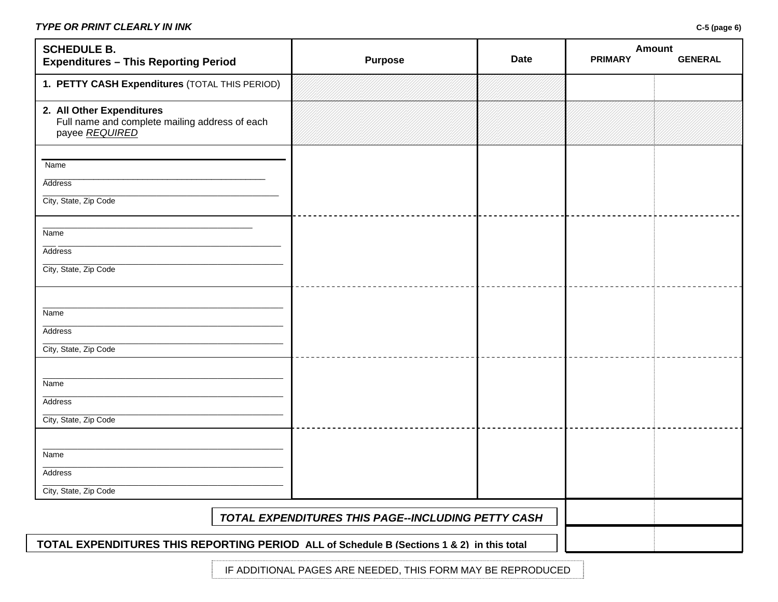### *TYPE OR PRINT CLEARLY IN INK* **C-5 (page 6)**

| <b>SCHEDULE B.</b><br><b>Expenditures - This Reporting Period</b>                             | <b>Purpose</b>                                     | <b>Date</b> | <b>Amount</b><br><b>PRIMARY</b> | <b>GENERAL</b> |
|-----------------------------------------------------------------------------------------------|----------------------------------------------------|-------------|---------------------------------|----------------|
| 1. PETTY CASH Expenditures (TOTAL THIS PERIOD)                                                |                                                    |             |                                 |                |
| 2. All Other Expenditures<br>Full name and complete mailing address of each<br>payee REQUIRED |                                                    |             |                                 |                |
| Name                                                                                          |                                                    |             |                                 |                |
| <b>Address</b>                                                                                |                                                    |             |                                 |                |
| City, State, Zip Code                                                                         |                                                    |             |                                 |                |
| Name                                                                                          |                                                    |             |                                 |                |
| Address                                                                                       |                                                    |             |                                 |                |
| City, State, Zip Code                                                                         |                                                    |             |                                 |                |
|                                                                                               |                                                    |             |                                 |                |
| Name                                                                                          |                                                    |             |                                 |                |
| Address                                                                                       |                                                    |             |                                 |                |
| City, State, Zip Code                                                                         |                                                    |             |                                 |                |
|                                                                                               |                                                    |             |                                 |                |
| Name<br>Address                                                                               |                                                    |             |                                 |                |
| City, State, Zip Code                                                                         |                                                    |             |                                 |                |
|                                                                                               |                                                    |             |                                 |                |
| Name                                                                                          |                                                    |             |                                 |                |
| Address                                                                                       |                                                    |             |                                 |                |
| City, State, Zip Code                                                                         |                                                    |             |                                 |                |
|                                                                                               | TOTAL EXPENDITURES THIS PAGE--INCLUDING PETTY CASH |             |                                 |                |
| TOTAL EXPENDITURES THIS REPORTING PERIOD ALL of Schedule B (Sections 1 & 2) in this total     |                                                    |             |                                 |                |